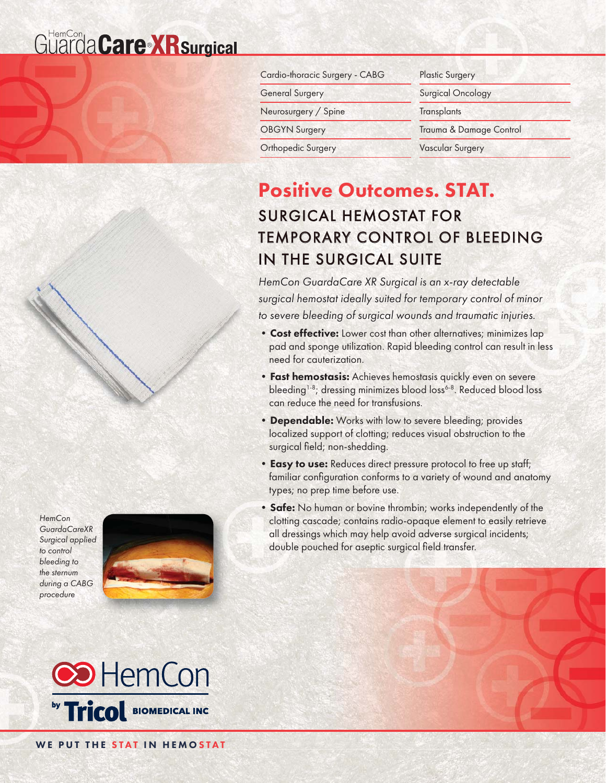# Guarda Care X R surgical



## Positive Outcomes. STAT. SURGICAL HEMOSTAT FOR **TEMPORARY CONTROL OF BLEEDING** IN THE SURGICAL SUITE

HemCon GuardaCare XR Surgical is an x-ray detectable surgical hemostat ideally suited for temporary control of minor to severe bleeding of surgical wounds and traumatic injuries.

- Cost effective: Lower cost than other alternatives; minimizes lap pad and sponge utilization. Rapid bleeding control can result in less need for cauterization.
- **Fast hemostasis:** Achieves hemostasis quickly even on severe bleeding<sup>1-8</sup>; dressing minimizes blood loss<sup>6-8</sup>. Reduced blood loss can reduce the need for transfusions.
- Dependable: Works with low to severe bleeding; provides localized support of clotting; reduces visual obstruction to the surgical field; non-shedding.
- Easy to use: Reduces direct pressure protocol to free up staff; familiar configuration conforms to a variety of wound and anatomy types; no prep time before use.
- Safe: No human or bovine thrombin; works independently of the clotting cascade; contains radio-opaque element to easily retrieve all dressings which may help avoid adverse surgical incidents; double pouched for aseptic surgical field transfer.



**HemCon** GuardaCareXR Surgical applied to control bleeding to the sternum during a CABG procedure